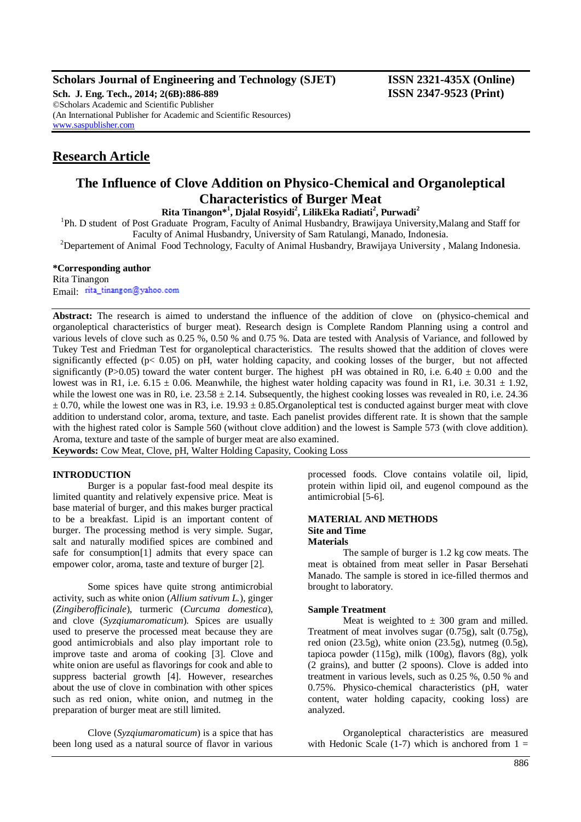**Scholars Journal of Engineering and Technology (SJET) ISSN 2321-435X (Online)**

**Sch. J. Eng. Tech., 2014; 2(6B):886-889 ISSN 2347-9523 (Print)** ©Scholars Academic and Scientific Publisher (An International Publisher for Academic and Scientific Resources) [www.saspublisher.com](http://www.saspublisher.com/)

# **Research Article**

# **The Influence of Clove Addition on Physico-Chemical and Organoleptical Characteristics of Burger Meat**

**Rita Tinangon\* 1 , Djalal Rosyidi<sup>2</sup> , LilikEka Radiati<sup>2</sup> , Purwadi<sup>2</sup>**

<sup>1</sup>Ph. D student of Post Graduate Program, Faculty of Animal Husbandry, Brawijaya University, Malang and Staff for Faculty of Animal Husbandry, University of Sam Ratulangi, Manado, Indonesia.

<sup>2</sup>Departement of Animal Food Technology, Faculty of Animal Husbandry, Brawijaya University, Malang Indonesia.

## **\*Corresponding author**

Rita Tinangon Email: rita\_tinangon@yahoo.com

**Abstract:** The research is aimed to understand the influence of the addition of clove on (physico-chemical and organoleptical characteristics of burger meat). Research design is Complete Random Planning using a control and various levels of clove such as 0.25 %, 0.50 % and 0.75 %. Data are tested with Analysis of Variance, and followed by Tukey Test and Friedman Test for organoleptical characteristics. The results showed that the addition of cloves were significantly effected ( $p < 0.05$ ) on pH, water holding capacity, and cooking losses of the burger, but not affected significantly (P>0.05) toward the water content burger. The highest pH was obtained in R0, i.e.  $6.40 \pm 0.00$  and the lowest was in R1, i.e.  $6.15 \pm 0.06$ . Meanwhile, the highest water holding capacity was found in R1, i.e.  $30.31 \pm 1.92$ , while the lowest one was in R0, i.e.  $23.58 \pm 2.14$ . Subsequently, the highest cooking losses was revealed in R0, i.e. 24.36  $\pm$  0.70, while the lowest one was in R3, i.e. 19.93  $\pm$  0.85.Organoleptical test is conducted against burger meat with clove addition to understand color, aroma, texture, and taste. Each panelist provides different rate. It is shown that the sample with the highest rated color is Sample 560 (without clove addition) and the lowest is Sample 573 (with clove addition). Aroma, texture and taste of the sample of burger meat are also examined.

**Keywords:** Cow Meat, Clove, pH, Walter Holding Capasity, Cooking Loss

## **INTRODUCTION**

Burger is a popular fast-food meal despite its limited quantity and relatively expensive price. Meat is base material of burger, and this makes burger practical to be a breakfast. Lipid is an important content of burger. The processing method is very simple. Sugar, salt and naturally modified spices are combined and safe for consumption[1] admits that every space can empower color, aroma, taste and texture of burger [2].

Some spices have quite strong antimicrobial activity, such as white onion (*Allium sativum L.*), ginger (*Zingiberofficinale*), turmeric (*Curcuma domestica*), and clove (*Syzqiumaromaticum*). Spices are usually used to preserve the processed meat because they are good antimicrobials and also play important role to improve taste and aroma of cooking [3]. Clove and white onion are useful as flavorings for cook and able to suppress bacterial growth [4]. However, researches about the use of clove in combination with other spices such as red onion, white onion, and nutmeg in the preparation of burger meat are still limited.

Clove (*Syzqiumaromaticum*) is a spice that has been long used as a natural source of flavor in various

processed foods. Clove contains volatile oil, lipid, protein within lipid oil, and eugenol compound as the antimicrobial [5-6].

## **MATERIAL AND METHODS Site and Time Materials**

The sample of burger is 1.2 kg cow meats. The meat is obtained from meat seller in Pasar Bersehati Manado. The sample is stored in ice-filled thermos and brought to laboratory.

## **Sample Treatment**

Meat is weighted to  $\pm$  300 gram and milled. Treatment of meat involves sugar (0.75g), salt (0.75g), red onion (23.5g), white onion (23.5g), nutmeg (0.5g), tapioca powder (115g), milk (100g), flavors (8g), yolk (2 grains), and butter (2 spoons). Clove is added into treatment in various levels, such as 0.25 %, 0.50 % and 0.75%. Physico-chemical characteristics (pH, water content, water holding capacity, cooking loss) are analyzed.

Organoleptical characteristics are measured with Hedonic Scale  $(1-7)$  which is anchored from  $1 =$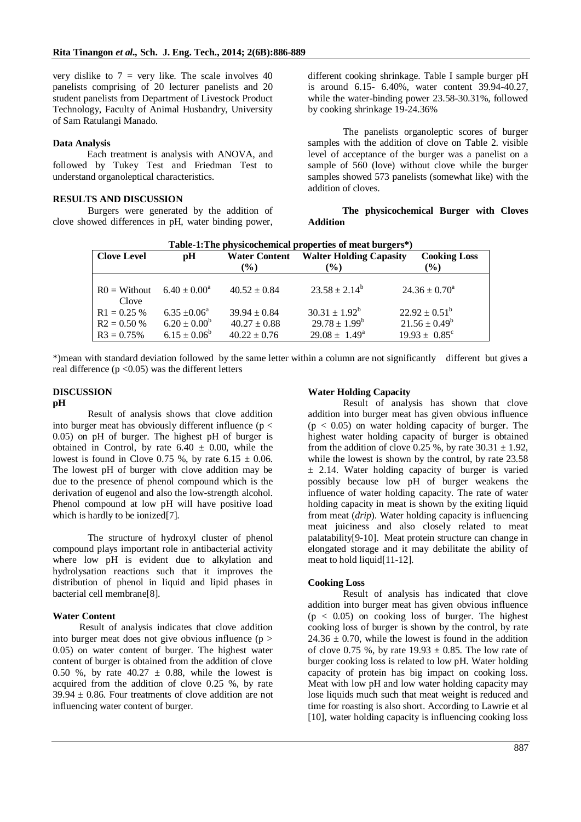very dislike to  $7 = \text{very like}$ . The scale involves 40 panelists comprising of 20 lecturer panelists and 20 student panelists from Department of Livestock Product Technology, Faculty of Animal Husbandry, University of Sam Ratulangi Manado.

## **Data Analysis**

Each treatment is analysis with ANOVA, and followed by Tukey Test and Friedman Test to understand organoleptical characteristics.

## **RESULTS AND DISCUSSION**

Burgers were generated by the addition of clove showed differences in pH, water binding power, different cooking shrinkage. Table I sample burger pH is around 6.15- 6.40%, water content 39.94-40.27, while the water-binding power 23.58-30.31%, followed by cooking shrinkage 19-24.36%

The panelists organoleptic scores of burger samples with the addition of clove on Table 2. visible level of acceptance of the burger was a panelist on a sample of 560 (love) without clove while the burger samples showed 573 panelists (somewhat like) with the addition of cloves.

## **The physicochemical Burger with Cloves Addition**

| Table-1: The physicochemical properties of meat burgers*) |                         |                      |                                                       |                          |  |  |  |  |
|-----------------------------------------------------------|-------------------------|----------------------|-------------------------------------------------------|--------------------------|--|--|--|--|
| <b>Clove Level</b>                                        | pH                      | <b>Water Content</b> | <b>Walter Holding Capasity</b><br><b>Cooking Loss</b> |                          |  |  |  |  |
|                                                           |                         | $(\%)$               | $(\%)$                                                | $\binom{0}{0}$           |  |  |  |  |
|                                                           |                         |                      |                                                       |                          |  |  |  |  |
| $R0 = Without$                                            | $6.40 \pm 0.00^a$       | $40.52 \pm 0.84$     | $23.58 \pm 2.14^b$                                    | $24.36 \pm 0.70^{\circ}$ |  |  |  |  |
| Clove                                                     |                         |                      |                                                       |                          |  |  |  |  |
| $R1 = 0.25 %$                                             | $6.35 \pm 0.06^{\circ}$ | $39.94 \pm 0.84$     | $30.31 \pm 1.92^b$                                    | $22.92 \pm 0.51^b$       |  |  |  |  |
| $R2 = 0.50 %$                                             | $6.20 \pm 0.00^b$       | $40.27 \pm 0.88$     | $29.78 \pm 1.99^b$                                    | $21.56 \pm 0.49^b$       |  |  |  |  |
| $R3 = 0.75%$                                              | $6.15 \pm 0.06^b$       | $40.22 \pm 0.76$     | $29.08 \pm 1.49^{\text{a}}$                           | $19.93 \pm 0.85^{\circ}$ |  |  |  |  |

\*)mean with standard deviation followed by the same letter within a column are not significantly different but gives a real difference ( $p < 0.05$ ) was the different letters

#### **DISCUSSION pH**

Result of analysis shows that clove addition into burger meat has obviously different influence ( $p <$ 0.05) on pH of burger. The highest pH of burger is obtained in Control, by rate  $6.40 \pm 0.00$ , while the lowest is found in Clove 0.75 %, by rate  $6.15 \pm 0.06$ . The lowest pH of burger with clove addition may be due to the presence of phenol compound which is the derivation of eugenol and also the low-strength alcohol. Phenol compound at low pH will have positive load which is hardly to be ionized[7].

The structure of hydroxyl cluster of phenol compound plays important role in antibacterial activity where low pH is evident due to alkylation and hydrolysation reactions such that it improves the distribution of phenol in liquid and lipid phases in bacterial cell membrane[8].

## **Water Content**

 Result of analysis indicates that clove addition into burger meat does not give obvious influence  $(p >$ 0.05) on water content of burger. The highest water content of burger is obtained from the addition of clove 0.50 %, by rate  $40.27 \pm 0.88$ , while the lowest is acquired from the addition of clove 0.25 %, by rate  $39.94 \pm 0.86$ . Four treatments of clove addition are not influencing water content of burger.

#### **Water Holding Capacity**

Result of analysis has shown that clove addition into burger meat has given obvious influence  $(p < 0.05)$  on water holding capacity of burger. The highest water holding capacity of burger is obtained from the addition of clove 0.25 %, by rate  $30.31 \pm 1.92$ , while the lowest is shown by the control, by rate 23.58 ± 2.14. Water holding capacity of burger is varied possibly because low pH of burger weakens the influence of water holding capacity. The rate of water holding capacity in meat is shown by the exiting liquid from meat (*drip*). Water holding capacity is influencing meat juiciness and also closely related to meat palatability[9-10]. Meat protein structure can change in elongated storage and it may debilitate the ability of meat to hold liquid[11-12].

#### **Cooking Loss**

Result of analysis has indicated that clove addition into burger meat has given obvious influence  $(p < 0.05)$  on cooking loss of burger. The highest cooking loss of burger is shown by the control, by rate  $24.36 \pm 0.70$ , while the lowest is found in the addition of clove 0.75 %, by rate  $19.93 \pm 0.85$ . The low rate of burger cooking loss is related to low pH. Water holding capacity of protein has big impact on cooking loss. Meat with low pH and low water holding capacity may lose liquids much such that meat weight is reduced and time for roasting is also short. According to Lawrie et al [10], water holding capacity is influencing cooking loss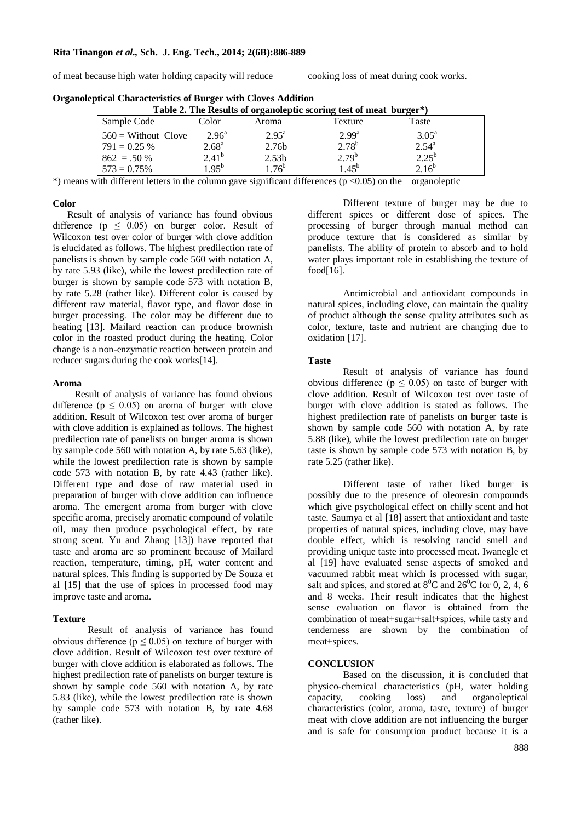of meat because high water holding capacity will reduce cooking loss of meat during cook works.

| Table 2. The Results of organoleptic scoring test of meat burger*) |                   |                   |                   |                |  |  |
|--------------------------------------------------------------------|-------------------|-------------------|-------------------|----------------|--|--|
| Sample Code                                                        | Color             | Aroma             | Texture           | Taste          |  |  |
| $560$ = Without Clove                                              | $2.96^{\circ}$    | $2.95^{\rm a}$    | 2.99 <sup>a</sup> | $3.05^{\rm a}$ |  |  |
| $791 = 0.25 %$                                                     | 2.68 <sup>a</sup> | 2.76b             | $2.78^{b}$        | $2.54^{a}$     |  |  |
| $862 = 0.50\%$                                                     | $2.41^{b}$        | 2.53 <sub>b</sub> | $2.79^{b}$        | $2.25^{b}$     |  |  |
| $573 = 0.75\%$                                                     | $1.95^{b}$        | $1.76^{b}$        | $1.45^{b}$        | $2.16^{b}$     |  |  |

**Organoleptical Characteristics of Burger with Cloves Addition** 

 $*$ ) means with different letters in the column gave significant differences ( $p$  <0.05) on the organoleptic

#### **Color**

 Result of analysis of variance has found obvious difference ( $p \leq 0.05$ ) on burger color. Result of Wilcoxon test over color of burger with clove addition is elucidated as follows. The highest predilection rate of panelists is shown by sample code 560 with notation A, by rate 5.93 (like), while the lowest predilection rate of burger is shown by sample code 573 with notation B, by rate 5.28 (rather like). Different color is caused by different raw material, flavor type, and flavor dose in burger processing. The color may be different due to heating [13]. Mailard reaction can produce brownish color in the roasted product during the heating. Color change is a non-enzymatic reaction between protein and reducer sugars during the cook works[14].

#### **Aroma**

 Result of analysis of variance has found obvious difference ( $p \le 0.05$ ) on aroma of burger with clove addition. Result of Wilcoxon test over aroma of burger with clove addition is explained as follows. The highest predilection rate of panelists on burger aroma is shown by sample code 560 with notation A, by rate 5.63 (like), while the lowest predilection rate is shown by sample code 573 with notation B, by rate 4.43 (rather like). Different type and dose of raw material used in preparation of burger with clove addition can influence aroma. The emergent aroma from burger with clove specific aroma, precisely aromatic compound of volatile oil, may then produce psychological effect, by rate strong scent. Yu and Zhang [13]) have reported that taste and aroma are so prominent because of Mailard reaction, temperature, timing, pH, water content and natural spices. This finding is supported by De Souza et al [15] that the use of spices in processed food may improve taste and aroma.

## **Texture**

Result of analysis of variance has found obvious difference ( $p \le 0.05$ ) on texture of burger with clove addition. Result of Wilcoxon test over texture of burger with clove addition is elaborated as follows. The highest predilection rate of panelists on burger texture is shown by sample code 560 with notation A, by rate 5.83 (like), while the lowest predilection rate is shown by sample code 573 with notation B, by rate 4.68 (rather like).

Different texture of burger may be due to different spices or different dose of spices. The processing of burger through manual method can produce texture that is considered as similar by panelists. The ability of protein to absorb and to hold water plays important role in establishing the texture of food<sup>[16]</sup>.

Antimicrobial and antioxidant compounds in natural spices, including clove, can maintain the quality of product although the sense quality attributes such as color, texture, taste and nutrient are changing due to oxidation [17].

## **Taste**

Result of analysis of variance has found obvious difference ( $p \leq 0.05$ ) on taste of burger with clove addition. Result of Wilcoxon test over taste of burger with clove addition is stated as follows. The highest predilection rate of panelists on burger taste is shown by sample code 560 with notation A, by rate 5.88 (like), while the lowest predilection rate on burger taste is shown by sample code 573 with notation B, by rate 5.25 (rather like).

Different taste of rather liked burger is possibly due to the presence of oleoresin compounds which give psychological effect on chilly scent and hot taste. Saumya et al [18] assert that antioxidant and taste properties of natural spices, including clove, may have double effect, which is resolving rancid smell and providing unique taste into processed meat. Iwanegle et al [19] have evaluated sense aspects of smoked and vacuumed rabbit meat which is processed with sugar, salt and spices, and stored at  $8^0C$  and  $26^0C$  for 0, 2, 4, 6 and 8 weeks. Their result indicates that the highest sense evaluation on flavor is obtained from the combination of meat+sugar+salt+spices, while tasty and tenderness are shown by the combination of meat+spices.

## **CONCLUSION**

Based on the discussion, it is concluded that physico-chemical characteristics (pH, water holding capacity, cooking loss) and organoleptical characteristics (color, aroma, taste, texture) of burger meat with clove addition are not influencing the burger and is safe for consumption product because it is a